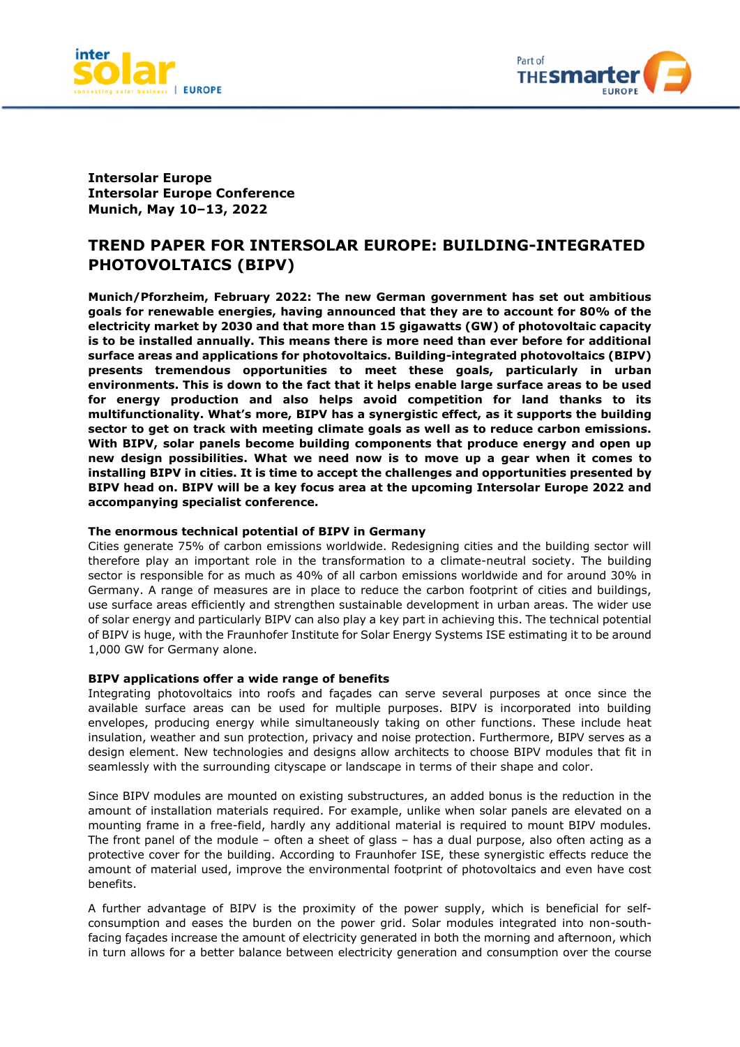



**Intersolar Europe Intersolar Europe Conference Munich, May 10–13, 2022**

# **TREND PAPER FOR INTERSOLAR EUROPE: BUILDING-INTEGRATED PHOTOVOLTAICS (BIPV)**

**Munich/Pforzheim, February 2022: The new German government has set out ambitious goals for renewable energies, having announced that they are to account for 80% of the electricity market by 2030 and that more than 15 gigawatts (GW) of photovoltaic capacity is to be installed annually. This means there is more need than ever before for additional surface areas and applications for photovoltaics. Building-integrated photovoltaics (BIPV) presents tremendous opportunities to meet these goals, particularly in urban environments. This is down to the fact that it helps enable large surface areas to be used for energy production and also helps avoid competition for land thanks to its multifunctionality. What's more, BIPV has a synergistic effect, as it supports the building sector to get on track with meeting climate goals as well as to reduce carbon emissions. With BIPV, solar panels become building components that produce energy and open up new design possibilities. What we need now is to move up a gear when it comes to installing BIPV in cities. It is time to accept the challenges and opportunities presented by BIPV head on. BIPV will be a key focus area at the upcoming Intersolar Europe 2022 and accompanying specialist conference.** 

## **The enormous technical potential of BIPV in Germany**

Cities generate 75% of carbon emissions worldwide. Redesigning cities and the building sector will therefore play an important role in the transformation to a climate-neutral society. The building sector is responsible for as much as 40% of all carbon emissions worldwide and for around 30% in Germany. A range of measures are in place to reduce the carbon footprint of cities and buildings, use surface areas efficiently and strengthen sustainable development in urban areas. The wider use of solar energy and particularly BIPV can also play a key part in achieving this. The technical potential of BIPV is huge, with the Fraunhofer Institute for Solar Energy Systems ISE estimating it to be around 1,000 GW for Germany alone.

#### **BIPV applications offer a wide range of benefits**

Integrating photovoltaics into roofs and façades can serve several purposes at once since the available surface areas can be used for multiple purposes. BIPV is incorporated into building envelopes, producing energy while simultaneously taking on other functions. These include heat insulation, weather and sun protection, privacy and noise protection. Furthermore, BIPV serves as a design element. New technologies and designs allow architects to choose BIPV modules that fit in seamlessly with the surrounding cityscape or landscape in terms of their shape and color.

Since BIPV modules are mounted on existing substructures, an added bonus is the reduction in the amount of installation materials required. For example, unlike when solar panels are elevated on a mounting frame in a free-field, hardly any additional material is required to mount BIPV modules. The front panel of the module – often a sheet of glass – has a dual purpose, also often acting as a protective cover for the building. According to Fraunhofer ISE, these synergistic effects reduce the amount of material used, improve the environmental footprint of photovoltaics and even have cost benefits.

A further advantage of BIPV is the proximity of the power supply, which is beneficial for selfconsumption and eases the burden on the power grid. Solar modules integrated into non-southfacing façades increase the amount of electricity generated in both the morning and afternoon, which in turn allows for a better balance between electricity generation and consumption over the course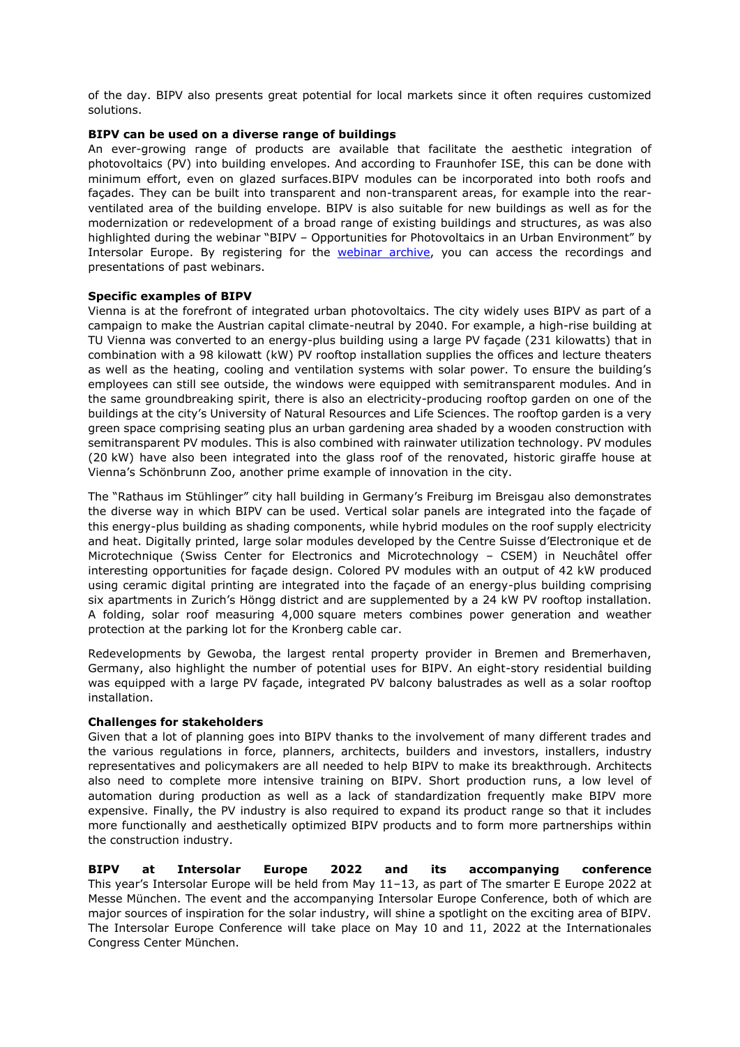of the day. BIPV also presents great potential for local markets since it often requires customized solutions.

#### **BIPV can be used on a diverse range of buildings**

An ever-growing range of products are available that facilitate the aesthetic integration of photovoltaics (PV) into building envelopes. And according to Fraunhofer ISE, this can be done with minimum effort, even on glazed surfaces.BIPV modules can be incorporated into both roofs and façades. They can be built into transparent and non-transparent areas, for example into the rearventilated area of the building envelope. BIPV is also suitable for new buildings as well as for the modernization or redevelopment of a broad range of existing buildings and structures, as was also highlighted during the webinar "BIPV – Opportunities for Photovoltaics in an Urban Environment" by Intersolar Europe. By registering for the [webinar archive,](https://www.thesmartere.com/de/home/webinars/webinar-material) you can access the recordings and presentations of past webinars.

## **Specific examples of BIPV**

Vienna is at the forefront of integrated urban photovoltaics. The city widely uses BIPV as part of a campaign to make the Austrian capital climate-neutral by 2040. For example, a high-rise building at TU Vienna was converted to an energy-plus building using a large PV façade (231 kilowatts) that in combination with a 98 kilowatt (kW) PV rooftop installation supplies the offices and lecture theaters as well as the heating, cooling and ventilation systems with solar power. To ensure the building's employees can still see outside, the windows were equipped with semitransparent modules. And in the same groundbreaking spirit, there is also an electricity-producing rooftop garden on one of the buildings at the city's University of Natural Resources and Life Sciences. The rooftop garden is a very green space comprising seating plus an urban gardening area shaded by a wooden construction with semitransparent PV modules. This is also combined with rainwater utilization technology. PV modules (20 kW) have also been integrated into the glass roof of the renovated, historic giraffe house at Vienna's Schönbrunn Zoo, another prime example of innovation in the city.

The "Rathaus im Stühlinger" city hall building in Germany's Freiburg im Breisgau also demonstrates the diverse way in which BIPV can be used. Vertical solar panels are integrated into the façade of this energy-plus building as shading components, while hybrid modules on the roof supply electricity and heat. Digitally printed, large solar modules developed by the Centre Suisse d'Electronique et de Microtechnique (Swiss Center for Electronics and Microtechnology – CSEM) in Neuchâtel offer interesting opportunities for façade design. Colored PV modules with an output of 42 kW produced using ceramic digital printing are integrated into the façade of an energy-plus building comprising six apartments in Zurich's Höngg district and are supplemented by a 24 kW PV rooftop installation. A folding, solar roof measuring 4,000 square meters combines power generation and weather protection at the parking lot for the Kronberg cable car.

Redevelopments by Gewoba, the largest rental property provider in Bremen and Bremerhaven, Germany, also highlight the number of potential uses for BIPV. An eight-story residential building was equipped with a large PV façade, integrated PV balcony balustrades as well as a solar rooftop installation.

#### **Challenges for stakeholders**

Given that a lot of planning goes into BIPV thanks to the involvement of many different trades and the various regulations in force, planners, architects, builders and investors, installers, industry representatives and policymakers are all needed to help BIPV to make its breakthrough. Architects also need to complete more intensive training on BIPV. Short production runs, a low level of automation during production as well as a lack of standardization frequently make BIPV more expensive. Finally, the PV industry is also required to expand its product range so that it includes more functionally and aesthetically optimized BIPV products and to form more partnerships within the construction industry.

**BIPV at Intersolar Europe 2022 and its accompanying conference** This year's Intersolar Europe will be held from May 11–13, as part of The smarter E Europe 2022 at Messe München. The event and the accompanying Intersolar Europe Conference, both of which are major sources of inspiration for the solar industry, will shine a spotlight on the exciting area of BIPV. The Intersolar Europe Conference will take place on May 10 and 11, 2022 at the Internationales Congress Center München.